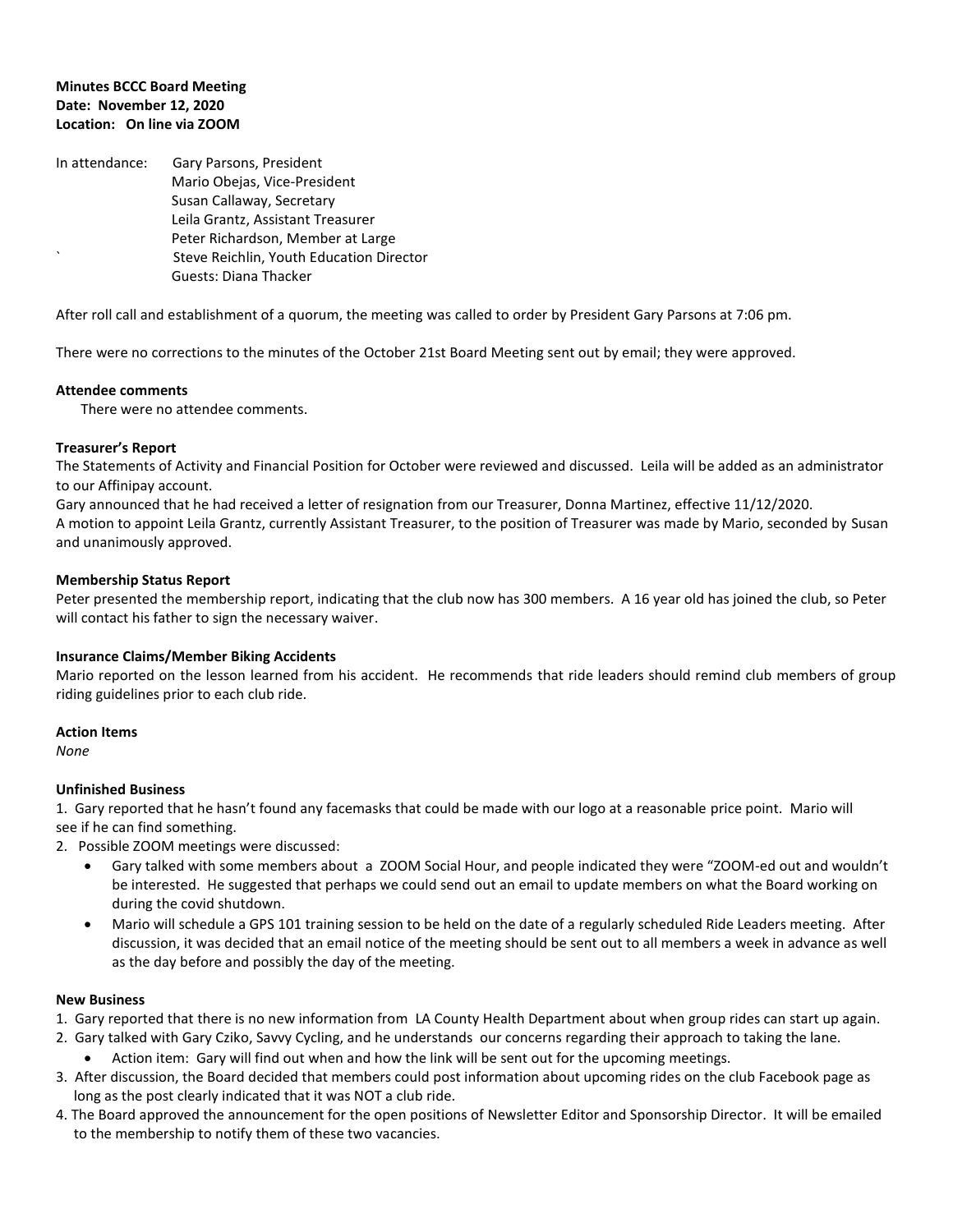## **Minutes BCCC Board Meeting Date: November 12, 2020 Location: On line via ZOOM**

In attendance: Gary Parsons, President Mario Obejas, Vice-President Susan Callaway, Secretary Leila Grantz, Assistant Treasurer Peter Richardson, Member at Large ` Steve Reichlin, Youth Education Director Guests: Diana Thacker

After roll call and establishment of a quorum, the meeting was called to order by President Gary Parsons at 7:06 pm.

There were no corrections to the minutes of the October 21st Board Meeting sent out by email; they were approved.

#### **Attendee comments**

There were no attendee comments.

## **Treasurer's Report**

The Statements of Activity and Financial Position for October were reviewed and discussed. Leila will be added as an administrator to our Affinipay account.

Gary announced that he had received a letter of resignation from our Treasurer, Donna Martinez, effective 11/12/2020. A motion to appoint Leila Grantz, currently Assistant Treasurer, to the position of Treasurer was made by Mario, seconded by Susan and unanimously approved.

## **Membership Status Report**

Peter presented the membership report, indicating that the club now has 300 members. A 16 year old has joined the club, so Peter will contact his father to sign the necessary waiver.

#### **Insurance Claims/Member Biking Accidents**

Mario reported on the lesson learned from his accident. He recommends that ride leaders should remind club members of group riding guidelines prior to each club ride.

#### **Action Items**

*None*

# **Unfinished Business**

1. Gary reported that he hasn't found any facemasks that could be made with our logo at a reasonable price point. Mario will see if he can find something.

2. Possible ZOOM meetings were discussed:

- Gary talked with some members about a ZOOM Social Hour, and people indicated they were "ZOOM-ed out and wouldn't be interested. He suggested that perhaps we could send out an email to update members on what the Board working on during the covid shutdown.
- Mario will schedule a GPS 101 training session to be held on the date of a regularly scheduled Ride Leaders meeting. After discussion, it was decided that an email notice of the meeting should be sent out to all members a week in advance as well as the day before and possibly the day of the meeting.

# **New Business**

- 1. Gary reported that there is no new information from LA County Health Department about when group rides can start up again.
- 2. Gary talked with Gary Cziko, Savvy Cycling, and he understands our concerns regarding their approach to taking the lane.
	- Action item: Gary will find out when and how the link will be sent out for the upcoming meetings.
- 3. After discussion, the Board decided that members could post information about upcoming rides on the club Facebook page as long as the post clearly indicated that it was NOT a club ride.
- 4. The Board approved the announcement for the open positions of Newsletter Editor and Sponsorship Director. It will be emailed to the membership to notify them of these two vacancies.